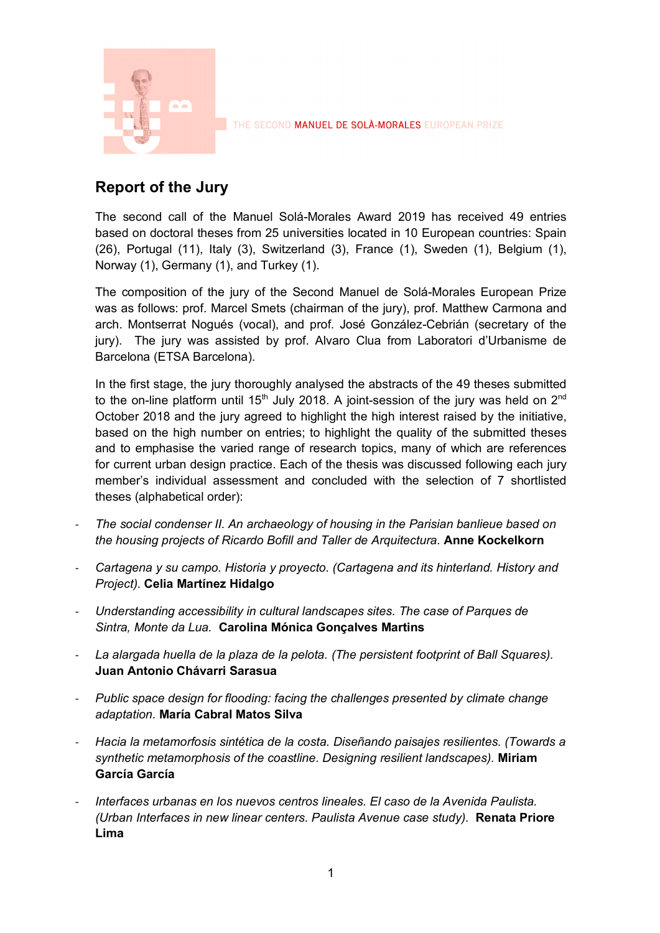

## **Report of the Jury**

The second call of the Manuel Solá-Morales Award 2019 has received 49 entries based on doctoral theses from 25 universities located in 10 European countries: Spain (26), Portugal (11), Italy (3), Switzerland (3), France (1), Sweden (1), Belgium (1), Norway (1), Germany (1), and Turkey (1).

The composition of the jury of the Second Manuel de Solá-Morales European Prize was as follows: prof. Marcel Smets (chairman of the jury), prof. Matthew Carmona and arch. Montserrat Nogués (vocal), and prof. José González-Cebrián (secretary of the jury). The jury was assisted by prof. Alvaro Clua from Laboratori d'Urbanisme de Barcelona (ETSA Barcelona).

In the first stage, the jury thoroughly analysed the abstracts of the 49 theses submitted to the on-line platform until  $15<sup>th</sup>$  July 2018. A joint-session of the jury was held on  $2<sup>nd</sup>$ October 2018 and the jury agreed to highlight the high interest raised by the initiative, based on the high number on entries; to highlight the quality of the submitted theses and to emphasise the varied range of research topics, many of which are references for current urban design practice. Each of the thesis was discussed following each jury member's individual assessment and concluded with the selection of 7 shortlisted theses (alphabetical order):

- *The social condenser II. An archaeology of housing in the Parisian banlieue based on the housing projects of Ricardo Bofill and Taller de Arquitectura.* **Anne Kockelkorn**
- *Cartagena y su campo. Historia y proyecto. (Cartagena and its hinterland. History and Project).* **Celia Martínez Hidalgo**
- *Understanding accessibility in cultural landscapes sites. The case of Parques de Sintra, Monte da Lua.* **Carolina Mónica Gonçalves Martins**
- *La alargada huella de la plaza de la pelota. (The persistent footprint of Ball Squares).*  **Juan Antonio Chávarri Sarasua**
- *Public space design for flooding: facing the challenges presented by climate change adaptation.* **María Cabral Matos Silva**
- *Hacia la metamorfosis sintética de la costa. Diseñando paisajes resilientes. (Towards a synthetic metamorphosis of the coastline. Designing resilient landscapes).* **Miriam García García**
- *Interfaces urbanas en los nuevos centros lineales. El caso de la Avenida Paulista. (Urban Interfaces in new linear centers. Paulista Avenue case study).* **Renata Priore Lima**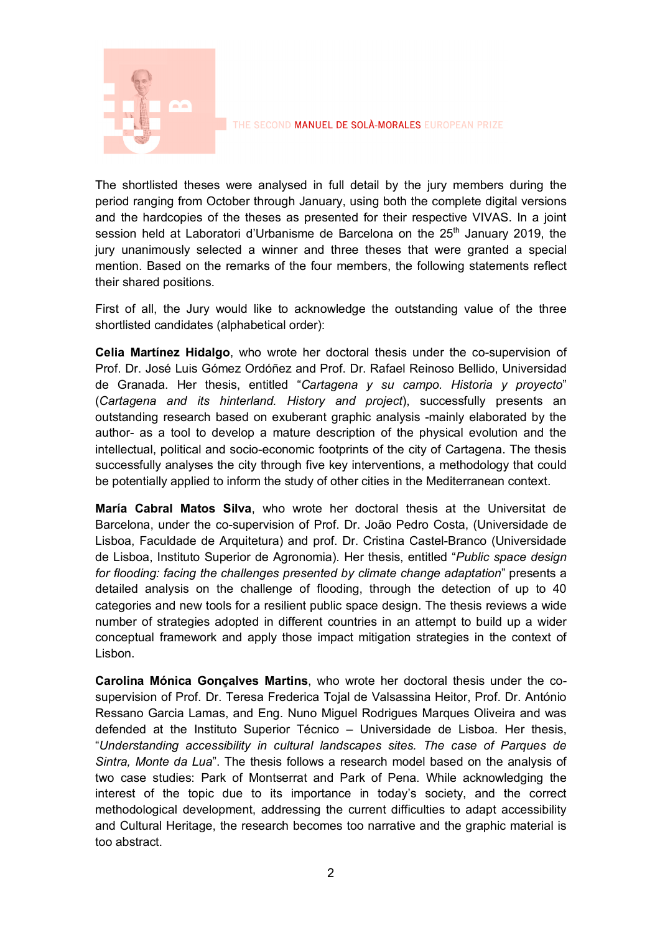

The shortlisted theses were analysed in full detail by the jury members during the period ranging from October through January, using both the complete digital versions and the hardcopies of the theses as presented for their respective VIVAS. In a joint session held at Laboratori d'Urbanisme de Barcelona on the 25<sup>th</sup> January 2019, the jury unanimously selected a winner and three theses that were granted a special mention. Based on the remarks of the four members, the following statements reflect their shared positions.

First of all, the Jury would like to acknowledge the outstanding value of the three shortlisted candidates (alphabetical order):

**Celia Martínez Hidalgo**, who wrote her doctoral thesis under the co-supervision of Prof. Dr. José Luis Gómez Ordóñez and Prof. Dr. Rafael Reinoso Bellido, Universidad de Granada. Her thesis, entitled "*Cartagena y su campo. Historia y proyecto*" (*Cartagena and its hinterland. History and project*), successfully presents an outstanding research based on exuberant graphic analysis -mainly elaborated by the author- as a tool to develop a mature description of the physical evolution and the intellectual, political and socio-economic footprints of the city of Cartagena. The thesis successfully analyses the city through five key interventions, a methodology that could be potentially applied to inform the study of other cities in the Mediterranean context.

**María Cabral Matos Silva**, who wrote her doctoral thesis at the Universitat de Barcelona, under the co-supervision of Prof. Dr. João Pedro Costa, (Universidade de Lisboa, Faculdade de Arquitetura) and prof. Dr. Cristina Castel-Branco (Universidade de Lisboa, Instituto Superior de Agronomia). Her thesis, entitled "*Public space design for flooding: facing the challenges presented by climate change adaptation*" presents a detailed analysis on the challenge of flooding, through the detection of up to 40 categories and new tools for a resilient public space design. The thesis reviews a wide number of strategies adopted in different countries in an attempt to build up a wider conceptual framework and apply those impact mitigation strategies in the context of Lisbon.

**Carolina Mónica Gonçalves Martins**, who wrote her doctoral thesis under the cosupervision of Prof. Dr. Teresa Frederica Tojal de Valsassina Heitor, Prof. Dr. António Ressano Garcia Lamas, and Eng. Nuno Miguel Rodrigues Marques Oliveira and was defended at the Instituto Superior Técnico – Universidade de Lisboa. Her thesis, "*Understanding accessibility in cultural landscapes sites. The case of Parques de Sintra, Monte da Lua*". The thesis follows a research model based on the analysis of two case studies: Park of Montserrat and Park of Pena. While acknowledging the interest of the topic due to its importance in today's society, and the correct methodological development, addressing the current difficulties to adapt accessibility and Cultural Heritage, the research becomes too narrative and the graphic material is too abstract.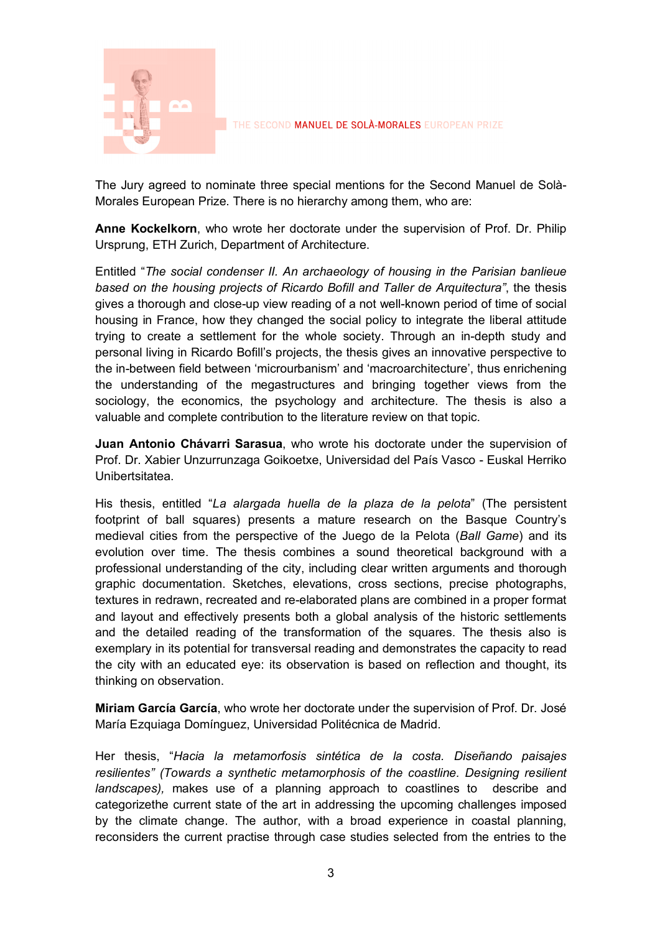

The Jury agreed to nominate three special mentions for the Second Manuel de Solà-Morales European Prize. There is no hierarchy among them, who are:

**Anne Kockelkorn**, who wrote her doctorate under the supervision of Prof. Dr. Philip Ursprung, ETH Zurich, Department of Architecture.

Entitled "*The social condenser II. An archaeology of housing in the Parisian banlieue based on the housing projects of Ricardo Bofill and Taller de Arquitectura"*, the thesis gives a thorough and close-up view reading of a not well-known period of time of social housing in France, how they changed the social policy to integrate the liberal attitude trying to create a settlement for the whole society. Through an in-depth study and personal living in Ricardo Bofill's projects, the thesis gives an innovative perspective to the in-between field between 'microurbanism' and 'macroarchitecture', thus enrichening the understanding of the megastructures and bringing together views from the sociology, the economics, the psychology and architecture. The thesis is also a valuable and complete contribution to the literature review on that topic.

**Juan Antonio Chávarri Sarasua**, who wrote his doctorate under the supervision of Prof. Dr. Xabier Unzurrunzaga Goikoetxe, Universidad del País Vasco - Euskal Herriko Unibertsitatea.

His thesis, entitled "*La alargada huella de la plaza de la pelota*" (The persistent footprint of ball squares) presents a mature research on the Basque Country's medieval cities from the perspective of the Juego de la Pelota (*Ball Game*) and its evolution over time. The thesis combines a sound theoretical background with a professional understanding of the city, including clear written arguments and thorough graphic documentation. Sketches, elevations, cross sections, precise photographs, textures in redrawn, recreated and re-elaborated plans are combined in a proper format and layout and effectively presents both a global analysis of the historic settlements and the detailed reading of the transformation of the squares. The thesis also is exemplary in its potential for transversal reading and demonstrates the capacity to read the city with an educated eye: its observation is based on reflection and thought, its thinking on observation.

**Miriam García García**, who wrote her doctorate under the supervision of Prof. Dr. José María Ezquiaga Domínguez, Universidad Politécnica de Madrid.

Her thesis, "*Hacia la metamorfosis sintética de la costa. Diseñando paisajes resilientes" (Towards a synthetic metamorphosis of the coastline. Designing resilient landscapes),* makes use of a planning approach to coastlines to describe and categorizethe current state of the art in addressing the upcoming challenges imposed by the climate change. The author, with a broad experience in coastal planning, reconsiders the current practise through case studies selected from the entries to the